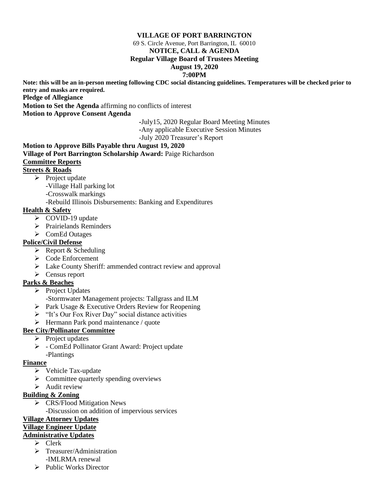#### **VILLAGE OF PORT BARRINGTON**

69 S. Circle Avenue, Port Barrington, IL 60010

#### **NOTICE, CALL & AGENDA**

#### **Regular Village Board of Trustees Meeting**

#### **August 19, 2020**

#### **7:00PM**

**Note: this will be an in-person meeting following CDC social distancing guidelines. Temperatures will be checked prior to entry and masks are required.**

**Pledge of Allegiance**

**Motion to Set the Agenda** affirming no conflicts of interest

**Motion to Approve Consent Agenda**

**-**July15, 2020 Regular Board Meeting Minutes

**-**Any applicable Executive Session Minutes

-July 2020 Treasurer's Report

# **Motion to Approve Bills Payable thru August 19, 2020**

**Village of Port Barrington Scholarship Award:** Paige Richardson

#### **Committee Reports**

# **Streets & Roads**

 $\triangleright$  Project update -Village Hall parking lot

-Crosswalk markings

-Rebuild Illinois Disbursements: Banking and Expenditures

# **Health & Safety**

- ➢ COVID-19 update
- ➢ Prairielands Reminders
- ➢ ComEd Outages

# **Police/Civil Defense**

- $\triangleright$  Report & Scheduling
- ➢ Code Enforcement
- ➢ Lake County Sheriff: ammended contract review and approval
- ➢ Census report

# **Parks & Beaches**

- ➢ Project Updates
- -Stormwater Management projects: Tallgrass and ILM
- ➢ Park Usage & Executive Orders Review for Reopening
- ➢ "It's Our Fox River Day" social distance activities
- ➢ Hermann Park pond maintenance / quote

# **Bee City/Pollinator Committee**

- ➢ Project updates
- ➢ ComEd Pollinator Grant Award: Project update -Plantings

#### **Finance**

- ➢ Vehicle Tax-update
- ➢ Committee quarterly spending overviews
- $\blacktriangleright$  Audit review

# **Building & Zoning**

- ➢ CRS/Flood Mitigation News
	- -Discussion on addition of impervious services

#### **Village Attorney Updates Village Engineer Update**

# **Administrative Updates**

- ➢ Clerk
- ➢ Treasurer/Administration -IMLRMA renewal
- ➢ Public Works Director